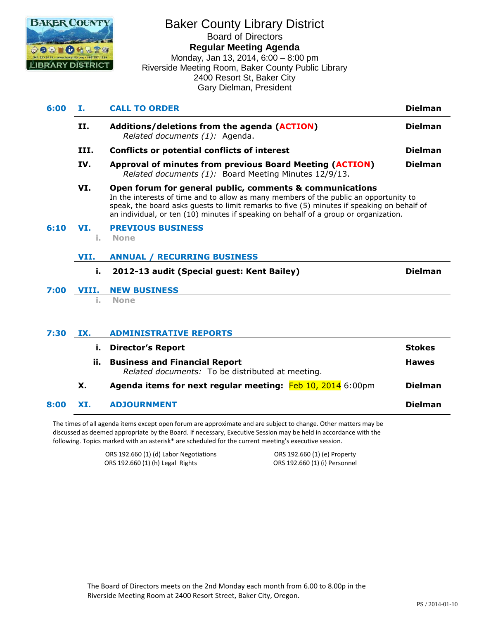

# Baker County Library District Board of Directors **Regular Meeting Agenda** Monday, Jan 13, 2014, 6:00 – 8:00 pm Riverside Meeting Room, Baker County Public Library

2400 Resort St, Baker City Gary Dielman, President

| 6:00 | <b>CALL TO ORDER</b><br>Ι. |                                                                                                                                                                                                                                                                                                                                         | <b>Dielman</b> |
|------|----------------------------|-----------------------------------------------------------------------------------------------------------------------------------------------------------------------------------------------------------------------------------------------------------------------------------------------------------------------------------------|----------------|
|      | II.                        | Additions/deletions from the agenda (ACTION)<br>Related documents (1): Agenda.                                                                                                                                                                                                                                                          | <b>Dielman</b> |
|      | III.                       | Conflicts or potential conflicts of interest                                                                                                                                                                                                                                                                                            | <b>Dielman</b> |
|      | IV.                        | Approval of minutes from previous Board Meeting (ACTION)<br>Related documents (1): Board Meeting Minutes 12/9/13.                                                                                                                                                                                                                       | <b>Dielman</b> |
|      | VI.                        | Open forum for general public, comments & communications<br>In the interests of time and to allow as many members of the public an opportunity to<br>speak, the board asks guests to limit remarks to five (5) minutes if speaking on behalf of<br>an individual, or ten (10) minutes if speaking on behalf of a group or organization. |                |
| 6:10 | VI.                        | <b>PREVIOUS BUSINESS</b>                                                                                                                                                                                                                                                                                                                |                |
|      |                            | <b>None</b>                                                                                                                                                                                                                                                                                                                             |                |
|      | VII.                       | <b>ANNUAL / RECURRING BUSINESS</b>                                                                                                                                                                                                                                                                                                      |                |
|      | i.                         | 2012-13 audit (Special guest: Kent Bailey)                                                                                                                                                                                                                                                                                              | <b>Dielman</b> |
| 7:00 | VIII.                      | <b>NEW BUSINESS</b>                                                                                                                                                                                                                                                                                                                     |                |
|      |                            | <b>None</b>                                                                                                                                                                                                                                                                                                                             |                |
| 7:30 | IX.                        | <b>ADMINISTRATIVE REPORTS</b>                                                                                                                                                                                                                                                                                                           |                |
|      |                            | Diroctor's Donart                                                                                                                                                                                                                                                                                                                       | $EXAMPLE$      |

| ī.  | <b>Director's Report</b>                                                                 | <b>Stokes</b>  |  |
|-----|------------------------------------------------------------------------------------------|----------------|--|
| ii. | <b>Business and Financial Report</b><br>Related documents: To be distributed at meeting. |                |  |
| Х.  | Agenda items for next regular meeting: Feb 10, 2014 6:00pm                               | <b>Dielman</b> |  |
|     |                                                                                          |                |  |

#### **8:00 XI. ADJOURNMENT Dielman**

The times of all agenda items except open forum are approximate and are subject to change. Other matters may be discussed as deemed appropriate by the Board. If necessary, Executive Session may be held in accordance with the following. Topics marked with an asterisk\* are scheduled for the current meeting's executive session.

> ORS 192.660 (1) (d) Labor Negotiations ORS 192.660 (1) (e) Property ORS 192.660 (1) (h) Legal Rights ORS 192.660 (1) (i) Personnel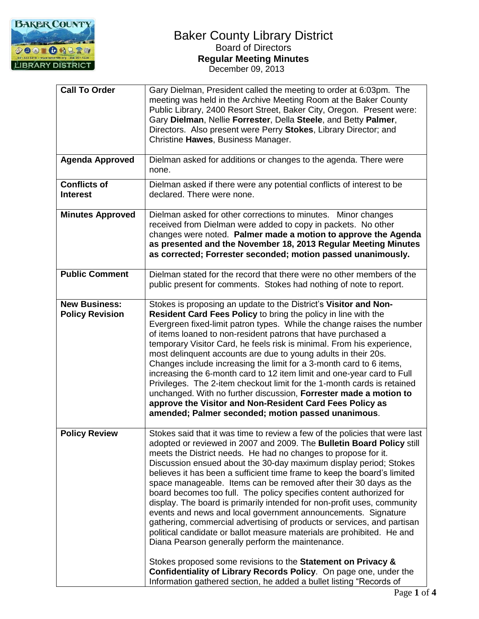

| <b>Call To Order</b>                           | Gary Dielman, President called the meeting to order at 6:03pm. The<br>meeting was held in the Archive Meeting Room at the Baker County<br>Public Library, 2400 Resort Street, Baker City, Oregon. Present were:<br>Gary Dielman, Nellie Forrester, Della Steele, and Betty Palmer,<br>Directors. Also present were Perry Stokes, Library Director; and<br>Christine Hawes, Business Manager.                                                                                                                                                                                                                                                                                                                                                                                                                                                                                                                                                                                                                                                                                         |
|------------------------------------------------|--------------------------------------------------------------------------------------------------------------------------------------------------------------------------------------------------------------------------------------------------------------------------------------------------------------------------------------------------------------------------------------------------------------------------------------------------------------------------------------------------------------------------------------------------------------------------------------------------------------------------------------------------------------------------------------------------------------------------------------------------------------------------------------------------------------------------------------------------------------------------------------------------------------------------------------------------------------------------------------------------------------------------------------------------------------------------------------|
| <b>Agenda Approved</b>                         | Dielman asked for additions or changes to the agenda. There were<br>none.                                                                                                                                                                                                                                                                                                                                                                                                                                                                                                                                                                                                                                                                                                                                                                                                                                                                                                                                                                                                            |
| <b>Conflicts of</b><br><b>Interest</b>         | Dielman asked if there were any potential conflicts of interest to be<br>declared. There were none.                                                                                                                                                                                                                                                                                                                                                                                                                                                                                                                                                                                                                                                                                                                                                                                                                                                                                                                                                                                  |
| <b>Minutes Approved</b>                        | Dielman asked for other corrections to minutes. Minor changes<br>received from Dielman were added to copy in packets. No other<br>changes were noted. Palmer made a motion to approve the Agenda<br>as presented and the November 18, 2013 Regular Meeting Minutes<br>as corrected; Forrester seconded; motion passed unanimously.                                                                                                                                                                                                                                                                                                                                                                                                                                                                                                                                                                                                                                                                                                                                                   |
| <b>Public Comment</b>                          | Dielman stated for the record that there were no other members of the<br>public present for comments. Stokes had nothing of note to report.                                                                                                                                                                                                                                                                                                                                                                                                                                                                                                                                                                                                                                                                                                                                                                                                                                                                                                                                          |
| <b>New Business:</b><br><b>Policy Revision</b> | Stokes is proposing an update to the District's Visitor and Non-<br>Resident Card Fees Policy to bring the policy in line with the<br>Evergreen fixed-limit patron types. While the change raises the number<br>of items loaned to non-resident patrons that have purchased a<br>temporary Visitor Card, he feels risk is minimal. From his experience,<br>most delinquent accounts are due to young adults in their 20s.<br>Changes include increasing the limit for a 3-month card to 6 items,<br>increasing the 6-month card to 12 item limit and one-year card to Full<br>Privileges. The 2-item checkout limit for the 1-month cards is retained<br>unchanged. With no further discussion, Forrester made a motion to<br>approve the Visitor and Non-Resident Card Fees Policy as<br>amended; Palmer seconded; motion passed unanimous.                                                                                                                                                                                                                                         |
| <b>Policy Review</b>                           | Stokes said that it was time to review a few of the policies that were last<br>adopted or reviewed in 2007 and 2009. The Bulletin Board Policy still<br>meets the District needs. He had no changes to propose for it.<br>Discussion ensued about the 30-day maximum display period; Stokes<br>believes it has been a sufficient time frame to keep the board's limited<br>space manageable. Items can be removed after their 30 days as the<br>board becomes too full. The policy specifies content authorized for<br>display. The board is primarily intended for non-profit uses, community<br>events and news and local government announcements. Signature<br>gathering, commercial advertising of products or services, and partisan<br>political candidate or ballot measure materials are prohibited. He and<br>Diana Pearson generally perform the maintenance.<br>Stokes proposed some revisions to the Statement on Privacy &<br>Confidentiality of Library Records Policy. On page one, under the<br>Information gathered section, he added a bullet listing "Records of |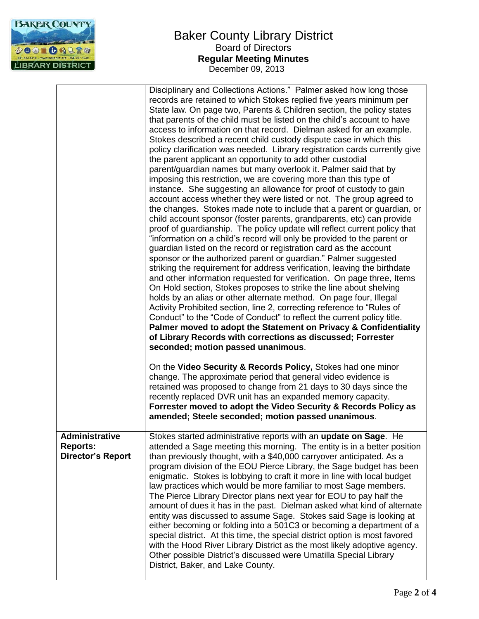

|                                                                      | Disciplinary and Collections Actions." Palmer asked how long those<br>records are retained to which Stokes replied five years minimum per<br>State law. On page two, Parents & Children section, the policy states<br>that parents of the child must be listed on the child's account to have<br>access to information on that record. Dielman asked for an example.<br>Stokes described a recent child custody dispute case in which this<br>policy clarification was needed. Library registration cards currently give<br>the parent applicant an opportunity to add other custodial<br>parent/guardian names but many overlook it. Palmer said that by<br>imposing this restriction, we are covering more than this type of<br>instance. She suggesting an allowance for proof of custody to gain<br>account access whether they were listed or not. The group agreed to<br>the changes. Stokes made note to include that a parent or guardian, or<br>child account sponsor (foster parents, grandparents, etc) can provide<br>proof of guardianship. The policy update will reflect current policy that<br>"information on a child's record will only be provided to the parent or<br>guardian listed on the record or registration card as the account<br>sponsor or the authorized parent or guardian." Palmer suggested<br>striking the requirement for address verification, leaving the birthdate<br>and other information requested for verification. On page three, Items<br>On Hold section, Stokes proposes to strike the line about shelving<br>holds by an alias or other alternate method. On page four, Illegal<br>Activity Prohibited section, line 2, correcting reference to "Rules of<br>Conduct" to the "Code of Conduct" to reflect the current policy title.<br>Palmer moved to adopt the Statement on Privacy & Confidentiality<br>of Library Records with corrections as discussed; Forrester<br>seconded; motion passed unanimous.<br>On the Video Security & Records Policy, Stokes had one minor<br>change. The approximate period that general video evidence is |
|----------------------------------------------------------------------|------------------------------------------------------------------------------------------------------------------------------------------------------------------------------------------------------------------------------------------------------------------------------------------------------------------------------------------------------------------------------------------------------------------------------------------------------------------------------------------------------------------------------------------------------------------------------------------------------------------------------------------------------------------------------------------------------------------------------------------------------------------------------------------------------------------------------------------------------------------------------------------------------------------------------------------------------------------------------------------------------------------------------------------------------------------------------------------------------------------------------------------------------------------------------------------------------------------------------------------------------------------------------------------------------------------------------------------------------------------------------------------------------------------------------------------------------------------------------------------------------------------------------------------------------------------------------------------------------------------------------------------------------------------------------------------------------------------------------------------------------------------------------------------------------------------------------------------------------------------------------------------------------------------------------------------------------------------------------------------------------------------------------------------------------------------------------------------------|
|                                                                      | retained was proposed to change from 21 days to 30 days since the<br>recently replaced DVR unit has an expanded memory capacity.<br>Forrester moved to adopt the Video Security & Records Policy as<br>amended; Steele seconded; motion passed unanimous.                                                                                                                                                                                                                                                                                                                                                                                                                                                                                                                                                                                                                                                                                                                                                                                                                                                                                                                                                                                                                                                                                                                                                                                                                                                                                                                                                                                                                                                                                                                                                                                                                                                                                                                                                                                                                                      |
| <b>Administrative</b><br><b>Reports:</b><br><b>Director's Report</b> | Stokes started administrative reports with an update on Sage. He<br>attended a Sage meeting this morning. The entity is in a better position<br>than previously thought, with a \$40,000 carryover anticipated. As a<br>program division of the EOU Pierce Library, the Sage budget has been<br>enigmatic. Stokes is lobbying to craft it more in line with local budget<br>law practices which would be more familiar to most Sage members.<br>The Pierce Library Director plans next year for EOU to pay half the<br>amount of dues it has in the past. Dielman asked what kind of alternate<br>entity was discussed to assume Sage. Stokes said Sage is looking at<br>either becoming or folding into a 501C3 or becoming a department of a<br>special district. At this time, the special district option is most favored<br>with the Hood River Library District as the most likely adoptive agency.<br>Other possible District's discussed were Umatilla Special Library<br>District, Baker, and Lake County.                                                                                                                                                                                                                                                                                                                                                                                                                                                                                                                                                                                                                                                                                                                                                                                                                                                                                                                                                                                                                                                                            |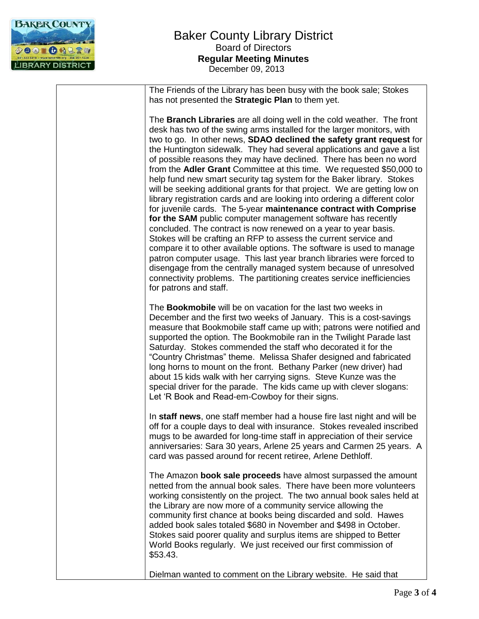

The Friends of the Library has been busy with the book sale; Stokes has not presented the **Strategic Plan** to them yet.

The **Branch Libraries** are all doing well in the cold weather. The front desk has two of the swing arms installed for the larger monitors, with two to go. In other news, **SDAO declined the safety grant request** for the Huntington sidewalk. They had several applications and gave a list of possible reasons they may have declined. There has been no word from the **Adler Grant** Committee at this time. We requested \$50,000 to help fund new smart security tag system for the Baker library. Stokes will be seeking additional grants for that project. We are getting low on library registration cards and are looking into ordering a different color for juvenile cards. The 5-year **maintenance contract with Comprise**  for the SAM public computer management software has recently concluded. The contract is now renewed on a year to year basis. Stokes will be crafting an RFP to assess the current service and compare it to other available options. The software is used to manage patron computer usage. This last year branch libraries were forced to disengage from the centrally managed system because of unresolved connectivity problems. The partitioning creates service inefficiencies for patrons and staff.

The **Bookmobile** will be on vacation for the last two weeks in December and the first two weeks of January. This is a cost-savings measure that Bookmobile staff came up with; patrons were notified and supported the option. The Bookmobile ran in the Twilight Parade last Saturday. Stokes commended the staff who decorated it for the "Country Christmas" theme. Melissa Shafer designed and fabricated long horns to mount on the front. Bethany Parker (new driver) had about 15 kids walk with her carrying signs. Steve Kunze was the special driver for the parade. The kids came up with clever slogans: Let 'R Book and Read-em-Cowboy for their signs.

In **staff news**, one staff member had a house fire last night and will be off for a couple days to deal with insurance. Stokes revealed inscribed mugs to be awarded for long-time staff in appreciation of their service anniversaries: Sara 30 years, Arlene 25 years and Carmen 25 years. A card was passed around for recent retiree, Arlene Dethloff.

The Amazon **book sale proceeds** have almost surpassed the amount netted from the annual book sales. There have been more volunteers working consistently on the project. The two annual book sales held at the Library are now more of a community service allowing the community first chance at books being discarded and sold. Hawes added book sales totaled \$680 in November and \$498 in October. Stokes said poorer quality and surplus items are shipped to Better World Books regularly. We just received our first commission of \$53.43.

Dielman wanted to comment on the Library website. He said that